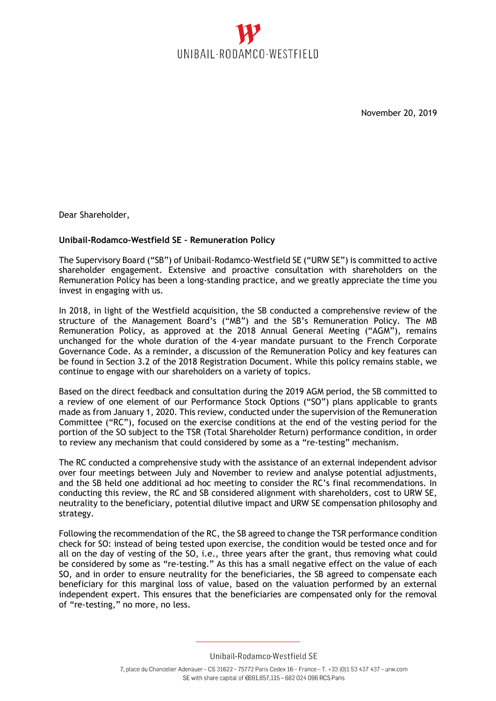

November 20, 2019

Dear Shareholder,

## **Unibail-Rodamco-Westfield SE – Remuneration Policy**

The Supervisory Board ("SB") of Unibail-Rodamco-Westfield SE ("URW SE") is committed to active shareholder engagement. Extensive and proactive consultation with shareholders on the Remuneration Policy has been a long-standing practice, and we greatly appreciate the time you invest in engaging with us.

In 2018, in light of the Westfield acquisition, the SB conducted a comprehensive review of the structure of the Management Board's ("MB") and the SB's Remuneration Policy. The MB Remuneration Policy, as approved at the 2018 Annual General Meeting ("AGM"), remains unchanged for the whole duration of the 4-year mandate pursuant to the French Corporate Governance Code. As a reminder, a discussion of the Remuneration Policy and key features can be found in Section 3.2 of the 2018 Registration Document. While this policy remains stable, we continue to engage with our shareholders on a variety of topics.

Based on the direct feedback and consultation during the 2019 AGM period, the SB committed to a review of one element of our Performance Stock Options ("SO") plans applicable to grants made as from January 1, 2020. This review, conducted under the supervision of the Remuneration Committee ("RC"), focused on the exercise conditions at the end of the vesting period for the portion of the SO subject to the TSR (Total Shareholder Return) performance condition, in order to review any mechanism that could considered by some as a "re-testing" mechanism.

The RC conducted a comprehensive study with the assistance of an external independent advisor over four meetings between July and November to review and analyse potential adjustments, and the SB held one additional ad hoc meeting to consider the RC's final recommendations. In conducting this review, the RC and SB considered alignment with shareholders, cost to URW SE, neutrality to the beneficiary, potential dilutive impact and URW SE compensation philosophy and strategy.

Following the recommendation of the RC, the SB agreed to change the TSR performance condition check for SO: instead of being tested upon exercise, the condition would be tested once and for all on the day of vesting of the SO, i.e., three years after the grant, thus removing what could be considered by some as "re-testing." As this has a small negative effect on the value of each SO, and in order to ensure neutrality for the beneficiaries, the SB agreed to compensate each beneficiary for this marginal loss of value, based on the valuation performed by an external independent expert. This ensures that the beneficiaries are compensated only for the removal of "re-testing," no more, no less.

Unibail-Rodamco-Westfield SE